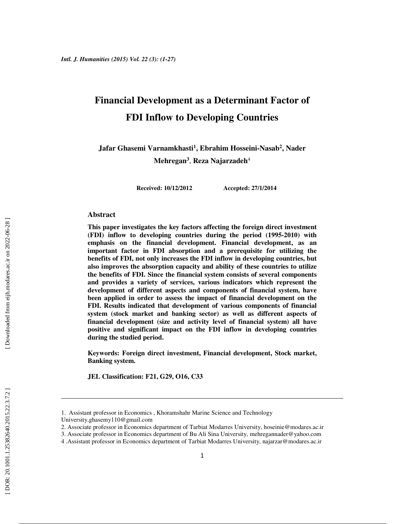# **Financial Development as a Determinant Factor of FDI Inflow to Developing Countries**

**Jafar Ghasemi Varnamkhasti 1 , Ebrahim Hosseini-Nasab 2 , Nader Mehregan 3** , **Reza Najarzadeh** 4

**Received: 10/12/2012 Accepted: 27/1/2014**

#### **Abstract**

**This paper investigates the key factors affecting the foreign direct investment (FDI) inflow to developing countries during the period (1995-2010) with emphasis on the financial development. Financial development, as an important factor in FDI absorption and a prerequisite for utilizing the benefits of FDI, not only increases the FDI inflow in developing countries, but also improves the absorption capacity and ability of these countries to utilize the benefits of FDI. Since the financial system consists of several components and provides a variety of services, various indicators which represent the development of different aspects and components of financial system, have been applied in order to assess the impact of financial development on the FDI. Results indicated that development of various components of financial system (stock market and banking sector) as well as different aspects of financial development (size and activity level of financial system) all have positive and significant impact on the FDI inflow in developing countries during the studied period.** 

**Keywords: Foreign direct investment, Financial development, Stock market, Banking system.** 

**JEL Classification: F21, G29, O16, C33** 

l

<sup>1.</sup> Assistant professor in Economics , Khoramshahr Marine Science and Technology

University,ghasemy110@gmail.com

<sup>2.</sup> Associate professor in Economics department of Tarbiat Modarres University, hoseinie@modares.ac.ir

<sup>3.</sup> Associate professor in Economics department of Bu Ali Sina University, mehregannader@yahoo.com

<sup>4 .</sup>Assistant professor in Economics department of Tarbiat Modarres University, najarzar@modares.ac.ir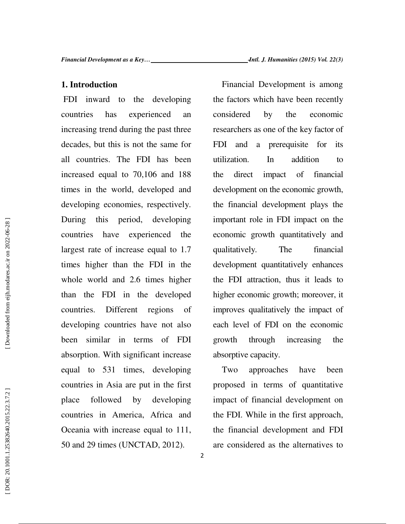### **1. Introduction**

 FDI inward to the developing countries has experienced an increasing trend during the past three decades, but this is not the same for all countries. The FDI has been increased equal to 70,106 and 188 times in the world, developed and developing economies, respectively. During this period, developing countries have experienced the largest rate of increase equal to 1.7 times higher than the FDI in the whole world and 2.6 times higher than the FDI in the developed countries. Different regions of developing countries have not also been similar in terms of FDI absorption. With significant increase equal to 531 times, developing countries in Asia are put in the first place followed by developing countries in America, Africa and Oceania with increase equal to 111, 50 and 29 times (UNCTAD, 2012).

Financial Development is among the factors which have been recently considered by the economic researchers as one of the key factor of FDI and a prerequisite for its utilization. In addition to the direct impact of financial development on the economic growth, the financial development plays the important role in FDI impact on the economic growth quantitatively and qualitatively. The financial development quantitatively enhances the FDI attraction, thus it leads to higher economic growth; moreover, it improves qualitatively the impact of each level of FDI on the economic growth through increasing the absorptive capacity.

Two approaches have been proposed in terms of quantitative impact of financial development on the FDI. While in the first approach, the financial development and FDI are considered as the alternatives to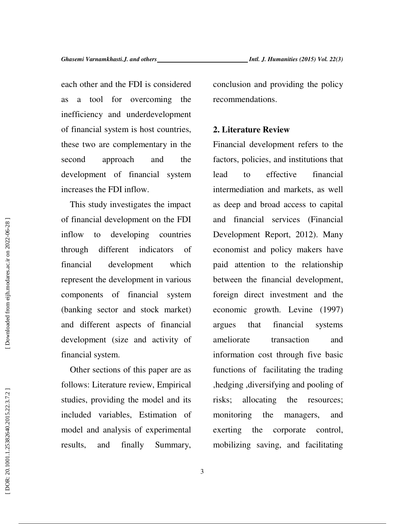each other and the FDI is considered as a tool for overcoming the inefficiency and underdevelopment of financial system is host countries, these two are complementary in the second approach and the development of financial system increases the FDI inflow.

This study investigates the impact of financial development on the FDI inflow to developing countries through different indicators of financial development which represent the development in various components of financial system (banking sector and stock market) and different aspects of financial development (size and activity of financial system.

Other sections of this paper are as follows: Literature review, Empirical studies, providing the model and its included variables, Estimation of model and analysis of experimental results, and finally Summary, conclusion and providing the policy recommendations.

### **2. Literature Review**

Financial development refers to the factors, policies, and institutions that lead to effective financial intermediation and markets, as well as deep and broad access to capital and financial services (Financial Development Report, 2012). Many economist and policy makers have paid attention to the relationship between the financial development, foreign direct investment and the economic growth. Levine (1997) argues that financial systems ameliorate transaction and information cost through five basic functions of facilitating the trading ,hedging ,diversifying and pooling of risks; allocating the resources; monitoring the managers, and exerting the corporate control, mobilizing saving, and facilitating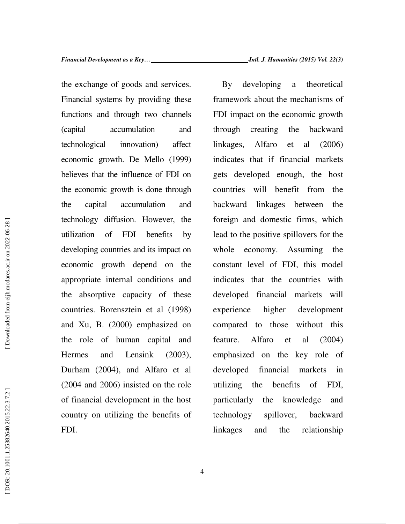<sup>ـ</sup>*Intl. J. Humanities (2015) Vol. 22(3)*

the exchange of goods and services. Financial systems by providing these functions and through two channels (capital accumulation and technological innovation) affect economic growth. De Mello (1999) believes that the influence of FDI on the economic growth is done through the capital accumulation and technology diffusion. However, the utilization of FDI benefits by developing countries and its impact on economic growth depend on the appropriate internal conditions and the absorptive capacity of these countries. Borensztein et al (1998) and Xu, B. (2000) emphasized on the role of human capital and Hermes and Lensink (2003), Durham (2004), and Alfaro et al (2004 and 2006) insisted on the role of financial development in the host country on utilizing the benefits of FDI.

By developing a theoretical framework about the mechanisms of FDI impact on the economic growth through creating the backward linkages, Alfaro et al (2006) indicates that if financial markets gets developed enough, the host countries will benefit from the backward linkages between the foreign and domestic firms, which lead to the positive spillovers for the whole economy. Assuming the constant level of FDI, this model indicates that the countries with developed financial markets will experience higher development compared to those without this feature. Alfaro et al (2004) emphasized on the key role of developed financial markets in utilizing the benefits of FDI, particularly the knowledge and technology spillover, backward linkages and the relationship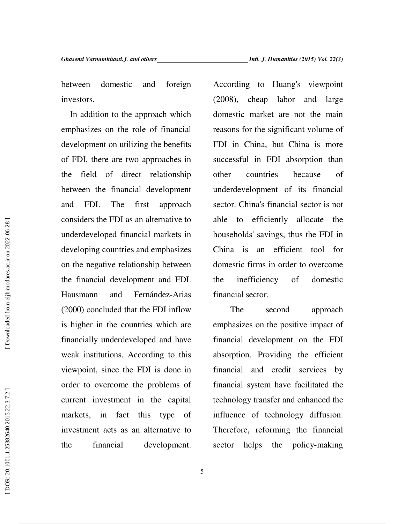between domestic and foreign investors.

In addition to the approach which emphasizes on the role of financial development on utilizing the benefits of FDI, there are two approaches in the field of direct relationship between the financial development and FDI. The first approach considers the FDI as an alternative to underdeveloped financial markets in developing countries and emphasizes on the negative relationship between the financial development and FDI. Hausmann and Fernández-Arias (2000) concluded that the FDI inflow is higher in the countries which are financially underdeveloped and have weak institutions. According to this viewpoint, since the FDI is done in order to overcome the problems of current investment in the capital markets, in fact this type of investment acts as an alternative to the financial development.

According to Huang's viewpoint (2008), cheap labor and large domestic market are not the main reasons for the significant volume of FDI in China, but China is more successful in FDI absorption than other countries because of underdevelopment of its financial sector. China's financial sector is not able to efficiently allocate the households' savings, thus the FDI in China is an efficient tool for domestic firms in order to overcome the inefficiency of domestic financial sector.

 The second approach emphasizes on the positive impact of financial development on the FDI absorption. Providing the efficient financial and credit services by financial system have facilitated the technology transfer and enhanced the influence of technology diffusion. Therefore, reforming the financial sector helps the policy-making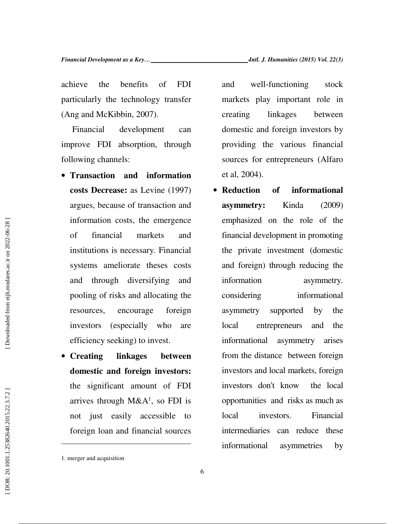achieve the benefits of FDI particularly the technology transfer (Ang and McKibbin, 2007).

 Financial development can improve FDI absorption, through following channels:

- **Transaction and information costs Decrease:** as Levine (1997) argues, because of transaction and information costs, the emergence of financial markets and institutions is necessary. Financial systems ameliorate theses costs and through diversifying and pooling of risks and allocating the resources, encourage foreign investors (especially who are efficiency seeking) to invest.
- **Creating linkages between domestic and foreign investors:** the significant amount of FDI arrives through  $M&A<sup>1</sup>$ , so FDI is not just easily accessible to foreign loan and financial sources

 $\overline{a}$ 

and well-functioning stock markets play important role in creating linkages between domestic and foreign investors by providing the various financial sources for entrepreneurs (Alfaro et al, 2004).

• **Reduction of informational asymmetry:** Kinda (2009) emphasized on the role of the financial development in promoting the private investment (domestic and foreign) through reducing the information asymmetry. considering informational asymmetry supported by the local entrepreneurs and the informational asymmetry arises from the distance between foreign investors and local markets, foreign investors don't know the local opportunities and risks as much as local investors. Financial intermediaries can reduce these informational asymmetries by

<sup>1.</sup> merger and acquisition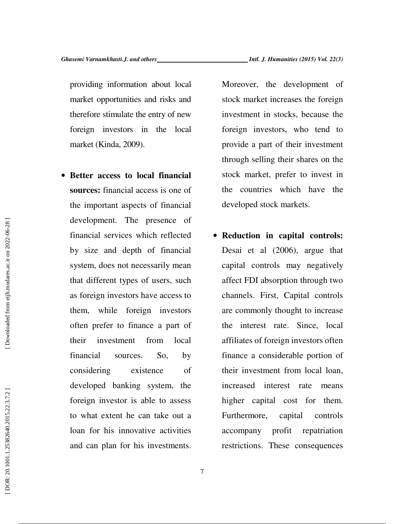providing information about local market opportunities and risks and therefore stimulate the entry of new foreign investors in the local market (Kinda, 2009).

• **Better access to local financial sources:** financial access is one of the important aspects of financial development. The presence of financial services which reflected by size and depth of financial system, does not necessarily mean that different types of users, such as foreign investors have access to them, while foreign investors often prefer to finance a part of their investment from local financial sources. So, by considering existence of developed banking system, the foreign investor is able to assess to what extent he can take out a loan for his innovative activities and can plan for his investments.

Moreover, the development of stock market increases the foreign investment in stocks, because the foreign investors, who tend to provide a part of their investment through selling their shares on the stock market, prefer to invest in the countries which have the developed stock markets.

• **Reduction in capital controls:** Desai et al (2006), argue that capital controls may negatively affect FDI absorption through two channels. First, Capital controls are commonly thought to increase the interest rate. Since, local affiliates of foreign investors often finance a considerable portion of their investment from local loan, increased interest rate means higher capital cost for them. Furthermore, capital controls accompany profit repatriation restrictions. These consequences

7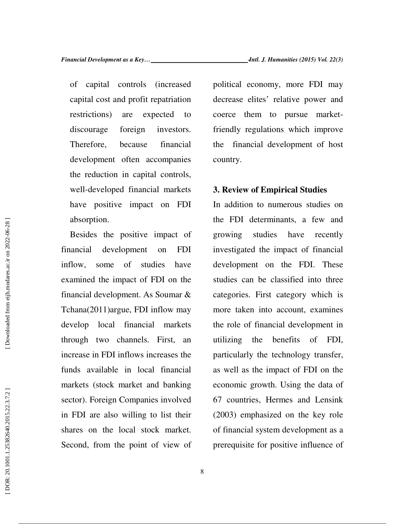of capital controls (increased capital cost and profit repatriation restrictions) are expected to discourage foreign investors. Therefore, because financial development often accompanies the reduction in capital controls, well-developed financial markets have positive impact on FDI absorption.

Besides the positive impact of financial development on FDI inflow, some of studies have examined the impact of FDI on the financial development. As Soumar & Tchana(2011)argue, FDI inflow may develop local financial markets through two channels. First, an increase in FDI inflows increases the funds available in local financial markets (stock market and banking sector). Foreign Companies involved in FDI are also willing to list their shares on the local stock market. Second, from the point of view of political economy, more FDI may decrease elites' relative power and coerce them to pursue marketfriendly regulations which improve the financial development of host country.

### **3. Review of Empirical Studies**

In addition to numerous studies on the FDI determinants, a few and growing studies have recently investigated the impact of financial development on the FDI. These studies can be classified into three categories. First category which is more taken into account, examines the role of financial development in utilizing the benefits of FDI, particularly the technology transfer, as well as the impact of FDI on the economic growth. Using the data of 67 countries, Hermes and Lensink (2003) emphasized on the key role of financial system development as a prerequisite for positive influence of

8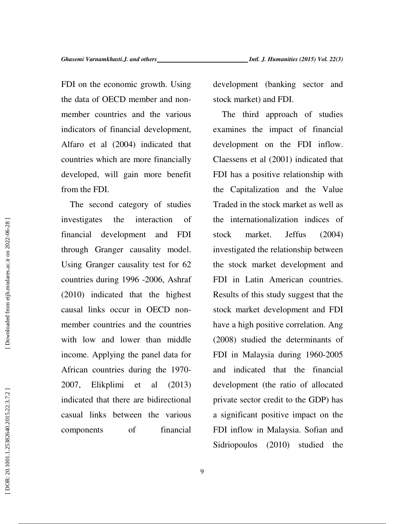FDI on the economic growth. Using the data of OECD member and nonmember countries and the various indicators of financial development, Alfaro et al (2004) indicated that countries which are more financially developed, will gain more benefit from the FDI.

The second category of studies investigates the interaction of financial development and FDI through Granger causality model. Using Granger causality test for 62 countries during 1996 -2006, Ashraf (2010) indicated that the highest causal links occur in OECD nonmember countries and the countries with low and lower than middle income. Applying the panel data for African countries during the 1970- 2007, Elikplimi et al (2013) indicated that there are bidirectional casual links between the various components of financial

development (banking sector and stock market) and FDI.

The third approach of studies examines the impact of financial development on the FDI inflow. Claessens et al (2001) indicated that FDI has a positive relationship with the Capitalization and the Value Traded in the stock market as well as the internationalization indices of stock market. Jeffus (2004) investigated the relationship between the stock market development and FDI in Latin American countries. Results of this study suggest that the stock market development and FDI have a high positive correlation. Ang (2008) studied the determinants of FDI in Malaysia during 1960-2005 and indicated that the financial development (the ratio of allocated private sector credit to the GDP) has a significant positive impact on the FDI inflow in Malaysia. Sofian and Sidriopoulos (2010) studied the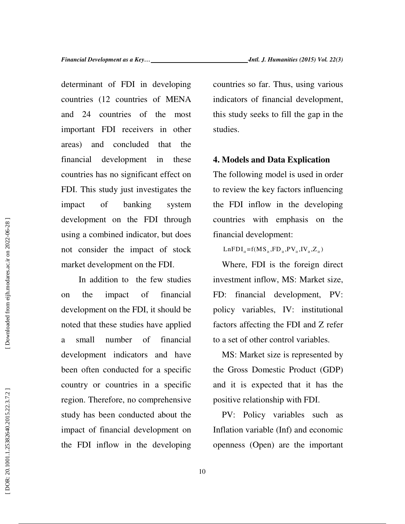determinant of FDI in developing countries (12 countries of MENA and 24 countries of the most important FDI receivers in other areas) and concluded that the financial development in these countries has no significant effect on FDI. This study just investigates the impact of banking system development on the FDI through using a combined indicator, but does not consider the impact of stock market development on the FDI.

 In addition to the few studies on the impact of financial development on the FDI, it should be noted that these studies have applied a small number of financial development indicators and have been often conducted for a specific country or countries in a specific region. Therefore, no comprehensive study has been conducted about the impact of financial development on the FDI inflow in the developing countries so far. Thus, using various indicators of financial development, this study seeks to fill the gap in the studies.

### **4. Models and Data Explication**

The following model is used in order to review the key factors influencing the FDI inflow in the developing countries with emphasis on the financial development:

 $LnFDI_{it} = f(MS_{it}, FD_{it}, PV_{it}, IV_{it}, Z_{it})$ 

Where, FDI is the foreign direct investment inflow, MS: Market size, FD: financial development, PV: policy variables, IV: institutional factors affecting the FDI and Z refer to a set of other control variables.

MS: Market size is represented by the Gross Domestic Product (GDP) and it is expected that it has the positive relationship with FDI.

PV: Policy variables such as Inflation variable (Inf) and economic openness (Open) are the important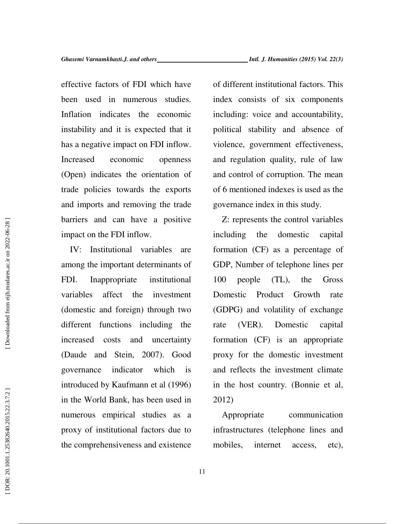effective factors of FDI which have been used in numerous studies. Inflation indicates the economic instability and it is expected that it has a negative impact on FDI inflow. Increased economic openness (Open) indicates the orientation of trade policies towards the exports and imports and removing the trade barriers and can have a positive impact on the FDI inflow.

IV: Institutional variables are among the important determinants of FDI. Inappropriate institutional variables affect the investment (domestic and foreign) through two different functions including the increased costs and uncertainty (Daude and Stein, 2007). Good governance indicator which is introduced by Kaufmann et al (1996) in the World Bank, has been used in numerous empirical studies as a proxy of institutional factors due to the comprehensiveness and existence

of different institutional factors. This index consists of six components including: voice and accountability, political stability and absence of violence, government effectiveness, and regulation quality, rule of law and control of corruption. The mean of 6 mentioned indexes is used as the governance index in this study.

Z: represents the control variables including the domestic capital formation (CF) as a percentage of GDP, Number of telephone lines per 100 people (TL), the Gross Domestic Product Growth rate (GDPG) and volatility of exchange rate (VER). Domestic capital formation (CF) is an appropriate proxy for the domestic investment and reflects the investment climate in the host country. (Bonnie et al, 2012)

Appropriate communication infrastructures (telephone lines and mobiles, internet access, etc),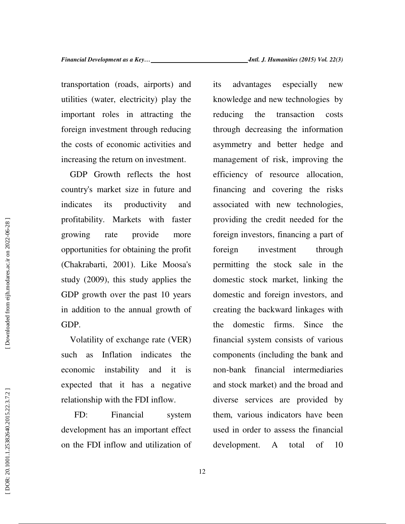transportation (roads, airports) and utilities (water, electricity) play the important roles in attracting the foreign investment through reducing the costs of economic activities and increasing the return on investment.

GDP Growth reflects the host country's market size in future and indicates its productivity and profitability. Markets with faster growing rate provide more opportunities for obtaining the profit (Chakrabarti, 2001). Like Moosa's study (2009), this study applies the GDP growth over the past 10 years in addition to the annual growth of GDP.

Volatility of exchange rate (VER) such as Inflation indicates the economic instability and it is expected that it has a negative relationship with the FDI inflow.

 FD: Financial system development has an important effect on the FDI inflow and utilization of its advantages especially new knowledge and new technologies by reducing the transaction costs through decreasing the information asymmetry and better hedge and management of risk, improving the efficiency of resource allocation, financing and covering the risks associated with new technologies, providing the credit needed for the foreign investors, financing a part of foreign investment through permitting the stock sale in the domestic stock market, linking the domestic and foreign investors, and creating the backward linkages with the domestic firms. Since the financial system consists of various components (including the bank and non-bank financial intermediaries and stock market) and the broad and diverse services are provided by them, various indicators have been used in order to assess the financial development. A total of 10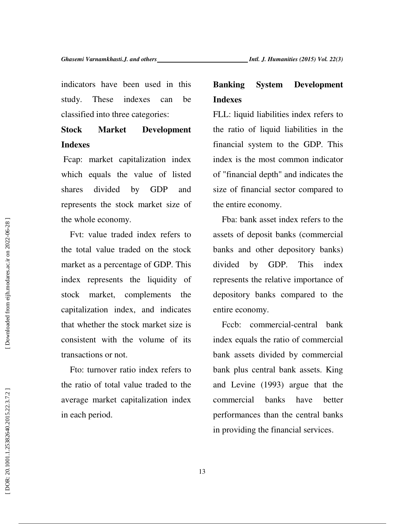indicators have been used in this study. These indexes can be classified into three categories:

## **Stock Market Development Indexes**

 Fcap: market capitalization index which equals the value of listed shares divided by GDP and represents the stock market size of the whole economy.

Fvt: value traded index refers to the total value traded on the stock market as a percentage of GDP. This index represents the liquidity of stock market, complements the capitalization index, and indicates that whether the stock market size is consistent with the volume of its transactions or not.

Fto: turnover ratio index refers to the ratio of total value traded to the average market capitalization index in each period.

## **Banking System Development Indexes**

FLL: liquid liabilities index refers to the ratio of liquid liabilities in the financial system to the GDP. This index is the most common indicator of "financial depth" and indicates the size of financial sector compared to the entire economy.

Fba: bank asset index refers to the assets of deposit banks (commercial banks and other depository banks) divided by GDP. This index represents the relative importance of depository banks compared to the entire economy.

Fccb: commercial-central bank index equals the ratio of commercial bank assets divided by commercial bank plus central bank assets. King and Levine (1993) argue that the commercial banks have better performances than the central banks in providing the financial services.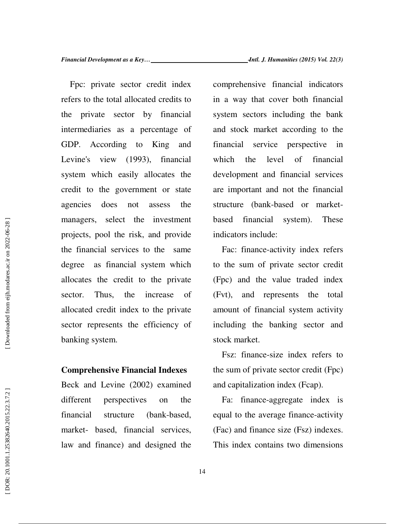Fpc: private sector credit index refers to the total allocated credits to the private sector by financial intermediaries as a percentage of GDP. According to King and Levine's view (1993), financial system which easily allocates the credit to the government or state agencies does not assess the managers, select the investment projects, pool the risk, and provide the financial services to the same degree as financial system which allocates the credit to the private sector. Thus, the increase of allocated credit index to the private sector represents the efficiency of banking system.

### **Comprehensive Financial Indexes**

Beck and Levine (2002) examined different perspectives on the financial structure (bank-based, market- based, financial services, law and finance) and designed the comprehensive financial indicators in a way that cover both financial system sectors including the bank and stock market according to the financial service perspective in which the level of financial development and financial services are important and not the financial structure (bank-based or marketbased financial system). These indicators include:

Fac: finance-activity index refers to the sum of private sector credit (Fpc) and the value traded index (Fvt), and represents the total amount of financial system activity including the banking sector and stock market.

Fsz: finance-size index refers to the sum of private sector credit (Fpc) and capitalization index (Fcap).

Fa: finance-aggregate index is equal to the average finance-activity (Fac) and finance size (Fsz) indexes. This index contains two dimensions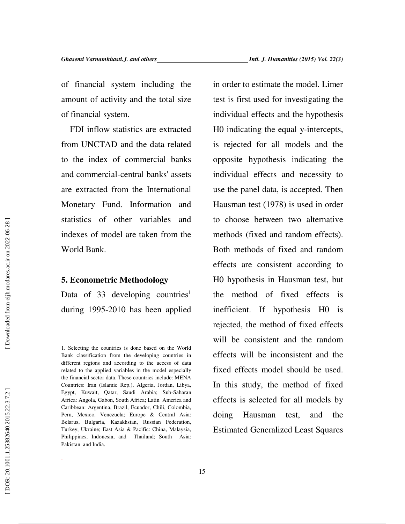of financial system including the amount of activity and the total size of financial system.

FDI inflow statistics are extracted from UNCTAD and the data related to the index of commercial banks and commercial-central banks' assets are extracted from the International Monetary Fund. Information and statistics of other variables and indexes of model are taken from the World Bank.

### **5. Econometric Methodology**

 $\overline{a}$ 

.

Data of 33 developing countries<sup>1</sup> during 1995-2010 has been applied in order to estimate the model. Limer test is first used for investigating the individual effects and the hypothesis H0 indicating the equal y-intercepts, is rejected for all models and the opposite hypothesis indicating the individual effects and necessity to use the panel data, is accepted. Then Hausman test (1978) is used in order to choose between two alternative methods (fixed and random effects). Both methods of fixed and random effects are consistent according to H0 hypothesis in Hausman test, but the method of fixed effects is inefficient. If hypothesis H0 is rejected, the method of fixed effects will be consistent and the random effects will be inconsistent and the fixed effects model should be used. In this study, the method of fixed effects is selected for all models by doing Hausman test, and the Estimated Generalized Least Squares

<sup>1.</sup> Selecting the countries is done based on the World Bank classification from the developing countries in different regions and according to the access of data related to the applied variables in the model especially the financial sector data. These countries include: MENA Countries: Iran (Islamic Rep.), Algeria, Jordan, Libya, Egypt, Kuwait, Qatar, Saudi Arabia; Sub-Saharan Africa: Angola, Gabon, South Africa; Latin America and Caribbean: Argentina, Brazil, Ecuador, Chili, Colombia, Peru, Mexico, Venezuela; Europe & Central Asia: Belarus, Bulgaria, Kazakhstan, Russian Federation, Turkey, Ukraine; East Asia & Pacific: China, Malaysia, Philippines, Indonesia, and Thailand; South Asia: Pakistan and India.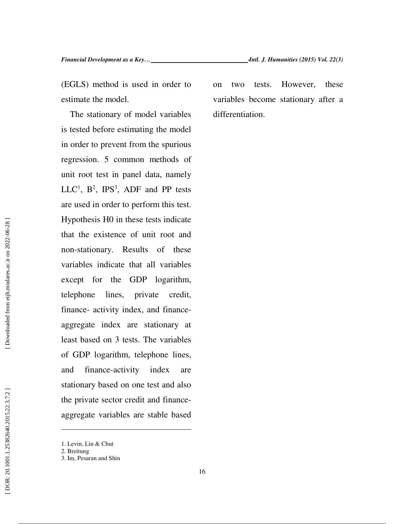(EGLS) method is used in order to estimate the model.

The stationary of model variables is tested before estimating the model in order to prevent from the spurious regression. 5 common methods of unit root test in panel data, namely  $LLC<sup>1</sup>$ ,  $B<sup>2</sup>$ ,  $IPS<sup>3</sup>$ , ADF and PP tests are used in order to perform this test. Hypothesis H0 in these tests indicate that the existence of unit root and non-stationary. Results of these variables indicate that all variables except for the GDP logarithm, telephone lines, private credit, finance- activity index, and financeaggregate index are stationary at least based on 3 tests. The variables of GDP logarithm, telephone lines, and finance-activity index are stationary based on one test and also the private sector credit and financeaggregate variables are stable based

 $\overline{a}$ 

on two tests. However, these variables become stationary after a differentiation.

<sup>1.</sup> Levin, Lin & Chut

<sup>2.</sup> Breitung

<sup>3.</sup> Im, Pesaran and Shin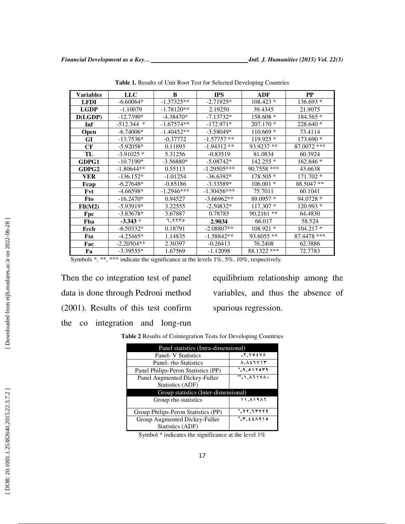| <b>Variables</b> | <b>LLC</b>   | B            | <b>IPS</b>    | ADF          | $\bf PP$    |
|------------------|--------------|--------------|---------------|--------------|-------------|
| <b>LFDI</b>      | $-6.60064*$  | $-1.37325**$ | $-2.71925*$   | $108.423*$   | 136.693 *   |
| <b>LGDP</b>      | $-1.10079$   | $-1.78120**$ | 2.19250       | 39.4345      | 21.9075     |
| D(LGDP)          | $-12.7390*$  | $-4.38470*$  | $-7.13732*$   | 158.608 *    | 184.565 *   |
| Inf              | $-512.344$ * | $-1.67574**$ | $-172.971*$   | $207.170*$   | $228.640*$  |
| Open             | $-6.74006*$  | $-1.40452**$ | $-3.58049*$   | $110.669*$   | 73.4114     |
| GI               | $-13.7536*$  | $-0.37772$   | $-1.57757**$  | 119.925 *    | 173.690 *   |
| CF               | $-5.92058*$  | 0.11893      | $-1.94312**$  | 93.9237 **   | 87.0072 *** |
| TL               | $-3.91025*$  | 5.31256      | $-0.83519$    | 81.0834      | 60.3924     |
| GDPG1            | $-10.7190*$  | $-3.56880*$  | $-5.08742*$   | 142.255 *    | 162.846 *   |
| GDPG2            | $-1.80644**$ | 0.55113      | $-1.29505***$ | 90.7558 ***  | 43.6638     |
| VER              | $-136.152*$  | $-1.01254$   | $-36.6392*$   | 178.505 *    | 171.702 *   |
| Fcap             | $-6.27648*$  | $-0.85186$   | $-3.33589*$   | $106.001*$   | 88.5047 **  |
| Fvt              | $-4.66598*$  | $-1.2946***$ | $-1.30456***$ | 75.7011      | 60.1041     |
| Fto              | $-16.2470*$  | 0.94527      | $-3.66962**$  | 89.0957 *    | $94.0728*$  |
| Fll(M2)          | $-5.93919*$  | 3.22555      | $-2.50832*$   | 117.307 *    | 120.993 *   |
| Fpc              | $-3.83678*$  | 3.67887      | 0.78785       | $90.2161$ ** | 64.4830     |
| Fba              | $-3.343*$    | 7,9۲۳۰       | 2.9034        | 66.017       | 58.524      |
| Fccb             | $-6.50332*$  | 0.18791      | $-2.08807**$  | $108.921*$   | $104.217*$  |
| Fsz              | $-4.25465*$  | 1.14835      | $-1.58842**$  | 93.6055 **   | 87.4478 *** |
| Fac              | $-2.20504**$ | 2.30397      | $-0.26413$    | 76.2408      | 62.3886     |
| Fa               | $-3.39555*$  | 1.67569      | $-1.12098$    | 88.1322 ***  | 72.7783     |

**Table 1.** Results of Unit Root Test for Selected Developing Countries

Symbols \*, \*\*, \*\*\* indicate the significance at the levels 1%, 5%, 10%, respectively.

Then the co integration test of panel data is done through Pedroni method (2001). Results of this test confirm the co integration and long-run

equilibrium relationship among the variables, and thus the absence of spurious regression.

**Table 2** Results of Cointegration Tests for Developing Countries

| Panel statistics (Intra-dimensional) |                                     |  |  |  |  |
|--------------------------------------|-------------------------------------|--|--|--|--|
| Panel- V Statistics                  | $-Y, V \circ \xi V \wedge$          |  |  |  |  |
| Panel- rho Statistics                | $\Lambda, \Lambda$ ٤٦٧١٣            |  |  |  |  |
| Panel Philips-Peron Statistics (PP)  | $-.9,017079$                        |  |  |  |  |
| Panel Augmented Dickey-Fuller        | $^{**}$ -1, $\wedge$ 117 $\wedge$ . |  |  |  |  |
| Statistics (ADF)                     |                                     |  |  |  |  |
| Group statistics (Inter-dimensional) |                                     |  |  |  |  |
| Group rho statistics                 | 11.81983                            |  |  |  |  |
|                                      |                                     |  |  |  |  |
| Group Philips-Peron Statistics (PP)  | $*$ -77, 17779                      |  |  |  |  |
| Group Augmented Dickey-Fuller        |                                     |  |  |  |  |
| Statistics (ADF)                     |                                     |  |  |  |  |

Symbol \* indicates the significance at the level 1%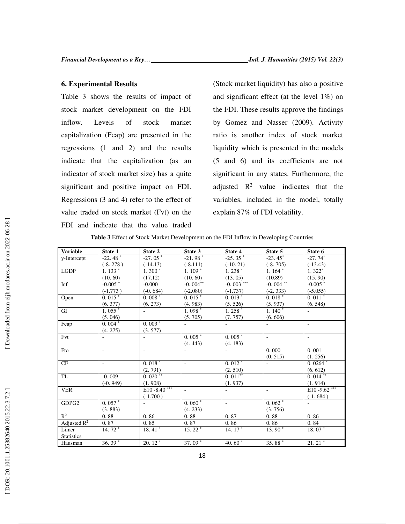### **6. Experimental Results**

Table 3 shows the results of impact of stock market development on the FDI inflow. Levels of stock market capitalization (Fcap) are presented in the regressions (1 and 2) and the results indicate that the capitalization (as an indicator of stock market size) has a quite significant and positive impact on FDI. Regressions (3 and 4) refer to the effect of value traded on stock market (Fvt) on the FDI and indicate that the value traded

(Stock market liquidity) has also a positive and significant effect (at the level 1%) on the FDI. These results approve the findings by Gomez and Nasser (2009). Activity ratio is another index of stock market liquidity which is presented in the models (5 and 6) and its coefficients are not significant in any states. Furthermore, the adjusted  $\mathbb{R}^2$  value indicates that the variables, included in the model, totally explain 87% of FDI volatility.

| <b>Variable</b>         | State 1                  | State 2                  | State 3                  | State 4                  | State 5                  | State 6              |
|-------------------------|--------------------------|--------------------------|--------------------------|--------------------------|--------------------------|----------------------|
| y-Intercept             | $-22.48$ <sup>*</sup>    | $-27.05*$                | $-21.98$ <sup>*</sup>    | $-25.35$ $*$             | $-23.45$ *               | $-27.74*$            |
|                         | $(-8.278)$               | $(-14.13)$               | $(-8.111)$               | $(-10.21)$               | $(-8.705)$               | $(-13.43)$           |
| <b>LGDP</b>             | $1.133*$                 | $1.300*$                 | $1.109*$                 | $1.238*$                 | $1.164*$                 | $1.322*$             |
|                         | (10.60)                  | (17.12)                  | (10.60)                  | (13.05)                  | (10.89)                  | (15.90)              |
| Inf                     | $-0.005$ *               | $-0.000$                 | $-0.004**$               | $-0.003***$              | $-0.004**$               | $-0.005$ *           |
|                         | $(-1.773)$               | $(-0.684)$               | $(-2.080)$               | $(-1.737)$               | $(-2.333)$               | $(-5.055)$           |
| Open                    | $0.015*$                 | $0.008*$                 | $0.015*$                 | $0.013*$                 | $0.018*$                 | $0.011*$             |
|                         | (6.377)                  | (6.273)                  | (4.983)                  | (5.526)                  | (5.937)                  | (6.548)              |
| GI                      | $1.055*$                 |                          | $1.098*$                 | $1.258*$                 | $1.140*$                 |                      |
|                         | (5.046)                  |                          | (5.705)                  | (7.757)                  | (6.606)                  |                      |
| Fcap                    | $0.004*$                 | $0.003*$                 | $\sim$                   | $\overline{\phantom{a}}$ | $\overline{\phantom{a}}$ | ÷,                   |
|                         | (4.275)                  | (3.577)                  |                          |                          |                          |                      |
| Fvt                     | $\overline{\phantom{a}}$ |                          | $0.005*$                 | $0.005*$                 | $\sim$                   | ÷,                   |
|                         |                          |                          | (4.443)                  | (4.183)                  |                          |                      |
| Fto                     | $\overline{\phantom{a}}$ | $\overline{\phantom{a}}$ | $\overline{\phantom{a}}$ | $\overline{\phantom{a}}$ | 0.000                    | 0.001                |
|                         |                          |                          |                          |                          | (0.515)                  | (1.256)              |
| CF                      | $\overline{\phantom{a}}$ | $0.018*$                 | $\sim$                   | $0.012$ <sup>*</sup>     |                          | $0.0264*$            |
|                         |                          | (2.791)                  |                          | (2.510)                  |                          | (6.612)              |
| TL                      | $-0.009$                 | $0.\overline{020}$ **    | $\sim$                   | $0.011**$                | $\bar{a}$                | $0.014***$           |
|                         | $(-0.949)$               | (1.908)                  |                          | (1.937)                  |                          | (1.914)              |
| <b>VER</b>              |                          | $E10 - 8.40***$          |                          | $\blacksquare$           |                          | E10 - 9.62 ***       |
|                         |                          | $(-1.700)$               |                          |                          |                          | $(-1.684)$           |
| GDPG2                   | $0.057*$                 | ÷.                       | $0.060*$                 | $\overline{\phantom{a}}$ | $0.062*$                 | $\omega$             |
|                         | (3.883)                  |                          | (4.233)                  |                          | (3.756)                  |                      |
| $\mathbb{R}^2$          | 0.88                     | 0.86                     | 0.88                     | 0.87                     | 0.88                     | 0.86                 |
| Adjusted $\mathbb{R}^2$ | 0.87                     | 0.85                     | 0.87                     | 0.86                     | 0.86                     | 0.84                 |
| Limer                   | $14.72*$                 | $18.41*$                 | $15.22*$                 | $14.17*$                 | $13.90*$                 | $18.07*$             |
| Statistics              |                          |                          |                          |                          |                          |                      |
| Hausman                 | 36.39 $*$                | $20.12$ <sup>*</sup>     | 37.09*                   | 40.60 $\overline{ }$     | 35.88*                   | $21.21$ <sup>*</sup> |

**Table 3** Effect of Stock Market Development on the FDI Inflow in Developing Countries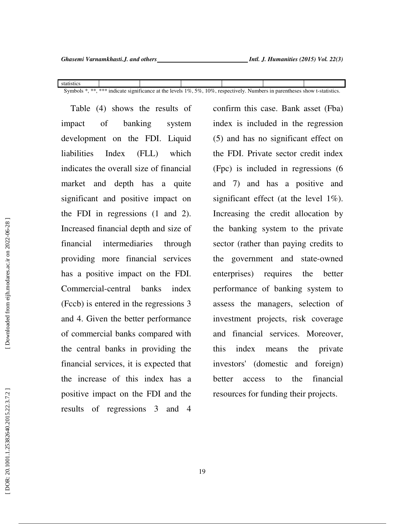statistics Symbols \*, \*\*, \*\*\* indicate significance at the levels 1%, 5%, 10%, respectively. Numbers in parentheses show t-statistics.

 Table (4) shows the results of impact of banking system development on the FDI. Liquid liabilities Index (FLL) which indicates the overall size of financial market and depth has a quite significant and positive impact on the FDI in regressions (1 and 2). Increased financial depth and size of financial intermediaries through providing more financial services has a positive impact on the FDI. Commercial-central banks index (Fccb) is entered in the regressions 3 and 4. Given the better performance of commercial banks compared with the central banks in providing the financial services, it is expected that the increase of this index has a positive impact on the FDI and the results of regressions 3 and 4

confirm this case. Bank asset (Fba) index is included in the regression (5) and has no significant effect on the FDI. Private sector credit index (Fpc) is included in regressions (6 and 7) and has a positive and significant effect (at the level 1%). Increasing the credit allocation by the banking system to the private sector (rather than paying credits to the government and state-owned enterprises) requires the better performance of banking system to assess the managers, selection of investment projects, risk coverage and financial services. Moreover, this index means the private investors' (domestic and foreign) better access to the financial resources for funding their projects.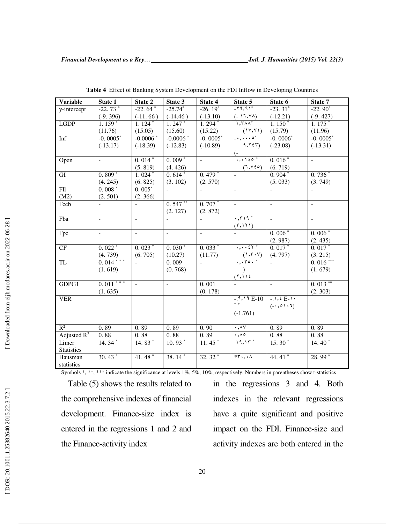| <b>Variable</b>   | State 1                  | State 2                  | State 3                  | State 4                  | State 5                                                                                             | State 6           | State 7                  |
|-------------------|--------------------------|--------------------------|--------------------------|--------------------------|-----------------------------------------------------------------------------------------------------|-------------------|--------------------------|
| y-intercept       | $-22.73*$                | $-22.\overline{64}^*$    | $-25.74*$                | $-26.19^{*}$             | $-79,91*$                                                                                           | $-23.31^*$        | $-22.90^*$               |
|                   | $(-9.396)$               | $(-11.66)$               | $(-14.46)$               | $(-13.10)$               | $\frac{(-11,14)}{1,144}$                                                                            | $(-12.21)$        | $(-9.427)$               |
| <b>LGDP</b>       | $1.159*$                 | $1.124*$                 | $1.247*$                 | $1.294*$                 |                                                                                                     | $1.150^*$         | $1.175*$                 |
|                   | (11.76)                  | (15.05)                  | (15.60)                  | (15.22)                  | $\frac{(\mathcal{V}, \mathcal{V})}{\cdot \cdot \cdot \cdot \cdot \circ^*}$                          | (15.79)           | (11.96)                  |
| Inf               | $-0.0005*$               | $-0.0006*$               | $-0.0006*$               | $-0.0005*$               |                                                                                                     | $-0.0006*$        | $-0.0005*$               |
|                   | $(-13.17)$               | $(-18.39)$               | $(-12.83)$               | $(-10.89)$               | 9,755                                                                                               | $(-23.08)$        | $(-13.31)$               |
|                   |                          |                          |                          |                          | $\frac{(-1)^{1}}{1!}$                                                                               |                   |                          |
| Open              | $\equiv$                 | $0.014*$                 | $0.009*$                 | $\equiv$                 |                                                                                                     | $0.016*$          | $\mathbf{r}$             |
|                   |                          | (5.819)                  | (4.426)                  |                          | (7, 96)                                                                                             | (6.719)           |                          |
| GI                | $0.809*$                 | $1.024*$                 | $0.614*$                 | $0.479*$                 |                                                                                                     | $0.904*$          | $0.736*$                 |
|                   | (4.245)                  | (6.825)                  | (3.102)                  | (2.570)                  |                                                                                                     | (5.033)           | (3.749)                  |
| <b>Fll</b>        | $0.008*$                 | $0.005*$                 |                          |                          |                                                                                                     |                   |                          |
| (M2)              | (2.501)                  | (2.366)                  |                          |                          |                                                                                                     |                   |                          |
| Fccb              |                          |                          | $0.547**$                | $0.707*$                 | $\mathbb{Z}^2$                                                                                      | $\equiv$          | $\overline{\phantom{a}}$ |
|                   |                          |                          | (2.127)                  | (2.872)                  |                                                                                                     |                   |                          |
| Fba               | $\equiv$                 | $\equiv$                 | $\mathbf{r}$             | $\equiv$                 | $\cdot$ , $\mathsf{r}$                                                                              | $\mathbb{L}^+$    | $\mathcal{L}$            |
|                   |                          |                          |                          |                          | (5,151)                                                                                             |                   |                          |
| Fpc               | $\overline{\phantom{a}}$ | $\overline{a}$           | $\overline{\phantom{a}}$ | $\overline{\phantom{0}}$ |                                                                                                     | $0.006*$          | $0.006*$                 |
|                   |                          |                          |                          |                          |                                                                                                     | (2.987)           | (2.435)                  |
| CF                | $0.022*$                 | $0.023*$                 | $0.030*$                 | $0.033*$                 | $\cdot$ , $\cdot$ , $\cdot$ $\zeta$ $\zeta$ $\zeta$                                                 | $0.017*$          | $0.017*$                 |
|                   | (4.739)                  | (6.705)                  | (10.27)                  | (11.77)                  | $\frac{(1, \mathsf{r} \cdot \mathsf{v})}{\mathsf{r}, \mathsf{r} \cdot \mathsf{r} \cdot \mathsf{v}}$ | (4.797)           | (3.215)                  |
| TL                | $0.014***$               |                          | 0.009                    | $\overline{a}$           |                                                                                                     |                   | $0.016***$               |
|                   | (1.619)                  |                          | (0.768)                  |                          |                                                                                                     |                   | (1.679)                  |
|                   |                          |                          |                          |                          | (1,11)                                                                                              |                   |                          |
| GDPG1             | $0.011***$               | $\overline{\phantom{a}}$ | $\mathbf{r}$             | 0.001                    |                                                                                                     | $\mathbb{L}^+$    | $0.013$ **               |
|                   | (1.635)                  |                          |                          | (0.178)                  |                                                                                                     |                   | (2.303)                  |
| <b>VER</b>        |                          |                          |                          |                          | $-3.19E-10$                                                                                         | $-1, 2E-1$        |                          |
|                   |                          |                          |                          |                          | $\ast\;$ $\ast$                                                                                     | $(-, 0) \cdot 1)$ |                          |
|                   |                          |                          |                          |                          | $(-1.761)$                                                                                          |                   |                          |
|                   |                          |                          |                          |                          |                                                                                                     |                   |                          |
| $R^2$             | 0.89                     | 0.89                     | 0.89                     | 0.90                     | $\cdot$ , $\wedge \vee$                                                                             | 0.89              | 0.89                     |
| Adjusted $R^2$    | 0.88                     | 0.88                     | 0.88                     | 0.89                     | $\cdot$ , $\wedge \circ$                                                                            | 0.88              | 0.88                     |
| Limer             | $14.34*$                 | $14.83*$                 | $10.93*$                 | $11.45*$                 | $19,11$ *                                                                                           | $15.30*$          | 14.40 $*$                |
| <b>Statistics</b> |                          |                          |                          |                          |                                                                                                     |                   |                          |
| Hausman           | $30.\overline{43}^*$     | 41.48 $*$                | 38. $\overline{14}^*$    | $32.32*$                 | $*r \cdot \cdot \cdot \wedge$                                                                       | 44.41*            | 28.99 *                  |
| statistics        |                          |                          |                          |                          |                                                                                                     |                   |                          |

**Table 4** Effect of Banking System Development on the FDI Inflow in Developing Countries

Symbols \*, \*\*, \*\*\* indicate the significance at levels 1%, 5%, 10%, respectively. Numbers in parentheses show t-statistics

 Table (5) shows the results related to the comprehensive indexes of financial development. Finance-size index is entered in the regressions 1 and 2 and the Finance-activity index

in the regressions 3 and 4. Both indexes in the relevant regressions have a quite significant and positive impact on the FDI. Finance-size and activity indexes are both entered in the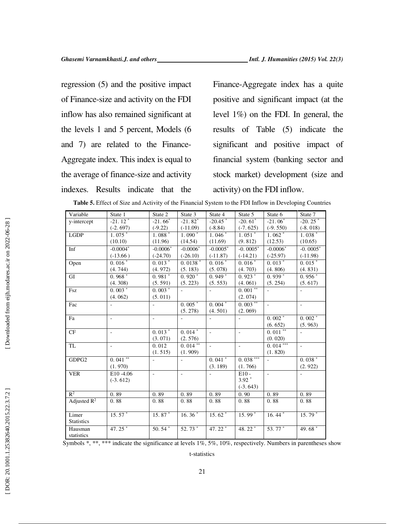regression (5) and the positive impact of Finance-size and activity on the FDI inflow has also remained significant at the levels 1 and 5 percent, Models (6 and 7) are related to the Finance-Aggregate index. This index is equal to the average of finance-size and activity indexes. Results indicate that the

Finance-Aggregate index has a quite positive and significant impact (at the level 1%) on the FDI. In general, the results of Table (5) indicate the significant and positive impact of financial system (banking sector and stock market) development (size and activity) on the FDI inflow.

| Variable          | State 1              | State 2    | State 3                  | State 4                  | State 5                  | State 6                  | State 7                  |
|-------------------|----------------------|------------|--------------------------|--------------------------|--------------------------|--------------------------|--------------------------|
| y-intercept       | $-21.12*$            | $-21.66^*$ | $-21.82*$                | $-20.45$                 | $-20.61$ <sup>*</sup>    | $-21.06*$                | $-20.25$ <sup>*</sup>    |
|                   | $(-2.697)$           | $(-9.22)$  | $(-11.09)$               | $(-8.84)$                | $(-7.625)$               | $(-9.550)$               | $(-8.018)$               |
| <b>LGDP</b>       | $1.075*$             | $1.088*$   | $1.090*$                 | $1.046*$                 | $1.\overline{051}^*$     | $1.062*$                 | $1.038*$                 |
|                   | (10.10)              | (11.96)    | (14.54)                  | (11.69)                  | (9.812)                  | (12.53)                  | (10.65)                  |
| Inf               | $-0.0004*$           | $-0.0006*$ | $-0.0006*$               | $-0.0005*$               | $-0.0005*$               | $-0.0006*$               | $-0.0005*$               |
|                   | $(-13.66)$           | $(-24.70)$ | $(-26.10)$               | $(-11.87)$               | $(-14.21)$               | $(-25.97)$               | $(-11.98)$               |
| Open              | $0.016*$             | $0.013*$   | $0.0138$ <sup>*</sup>    | $0.016*$                 | $0.016*$                 | $0.013*$                 | $0.015*$                 |
|                   | (4.744)              | (4.972)    | (5.183)                  | (5.078)                  | (4.703)                  | (4.806)                  | (4.831)                  |
| GI                | $0.\overline{968}^*$ | $0.981*$   | $0.920*$                 | $0.\overline{949}$ *     | $0.\overline{923}$ *     | $0.939*$                 | $0.956*$                 |
|                   | (4.308)              | (5.591)    | (5.223)                  | (5.553)                  | (4.061)                  | (5.254)                  | (5.617)                  |
| Fsz               | $0.003*$             | $0.003*$   | $\overline{\phantom{a}}$ |                          | $0.001**$                | $\omega$                 |                          |
|                   | (4.062)              | (5.011)    |                          |                          | (2.074)                  |                          |                          |
| Fac               | ÷,                   | $\sim$     | $0.005*$                 | $0.004*$                 | $0.003***$               | $\sim$                   | $\overline{\phantom{a}}$ |
|                   |                      |            | (5.278)                  | (4.501)                  | (2.069)                  |                          |                          |
| Fa                | ÷,                   | $\sim$     |                          |                          |                          | $0.002*$                 | $0.002*$                 |
|                   |                      |            |                          |                          |                          | (6.652)                  | (5.963)                  |
| CF                | ÷,                   | $0.013*$   | $0.014*$                 | $\Box$                   | $\overline{\phantom{a}}$ | $0.011**$                | $\blacksquare$           |
|                   |                      | (3.071)    | (2.576)                  |                          |                          | (0.020)                  |                          |
| TL                | ÷,                   | 0.012      | $0.014**$                | $\overline{\phantom{a}}$ | $\mathbf{r}$             | $0.014***$               | $\overline{\phantom{a}}$ |
|                   |                      | (1.515)    | (1.909)                  |                          |                          | (1.820)                  |                          |
| GDPG2             | $0.041**$            | ÷,         | $\overline{a}$           | $0.041*$                 | $0.038***$               | $\overline{\phantom{a}}$ | $0.038*$                 |
|                   | (1.970)              |            |                          | (3.189)                  | (1.766)                  |                          | (2.922)                  |
| <b>VER</b>        | E10-4.06             | ÷,         | ÷,                       |                          | $E10 -$                  | $\mathcal{L}$            | $\equiv$                 |
|                   | $(-3.612)$           |            |                          |                          | $3.92*$                  |                          |                          |
|                   |                      |            |                          |                          | $(-3.643)$               |                          |                          |
| $R^2$             | 0.89                 | 0.89       | 0.89                     | 0.89                     | 0.90                     | 0.89                     | 0.89                     |
| Adjusted $R^2$    | 0.88                 | 0.88       | 0.88                     | 0.88                     | 0.88                     | 0.88                     | 0.88                     |
|                   |                      |            |                          |                          |                          |                          |                          |
| Limer             | $15.57*$             | $15.87*$   | 16.36 $*$                | $15.62*$                 | $15.99*$                 | 16.44 $*$                | $15.79*$                 |
| <b>Statistics</b> |                      |            |                          |                          |                          |                          |                          |
| Hausman           | 47.25 $*$            | 50.54 $*$  | 52.73 *                  | 47.22 $*$                | 48.22 *                  | 53.77 *                  | 49.68 $^{\circ}$         |
| statistics        |                      |            |                          |                          |                          |                          |                          |

|  | Table 5. Effect of Size and Activity of the Financial System to the FDI Inflow in Developing Countries |  |
|--|--------------------------------------------------------------------------------------------------------|--|
|--|--------------------------------------------------------------------------------------------------------|--|

Symbols \*, \*\*, \*\*\* indicate the significance at levels 1%, 5%, 10%, respectively. Numbers in parentheses show t-statistics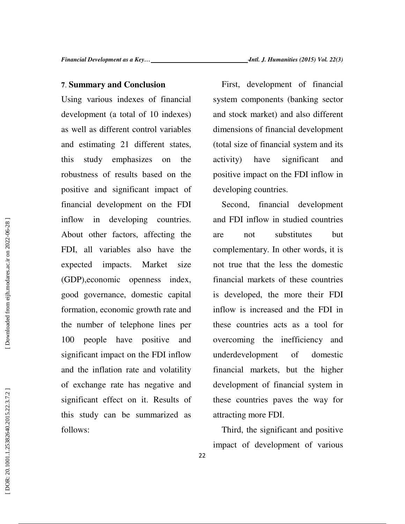### **7** . **Summary and Conclusion**

Using various indexes of financial development (a total of 10 indexes) as well as different control variables and estimating 21 different states, this study emphasizes on the robustness of results based on the positive and significant impact of financial development on the FDI inflow in developing countries. About other factors, affecting the FDI, all variables also have the expected impacts. Market size (GDP),economic openness index, good governance, domestic capital formation, economic growth rate and the number of telephone lines per 100 people have positive and significant impact on the FDI inflow and the inflation rate and volatility of exchange rate has negative and significant effect on it. Results of this study can be summarized as follows:

 First, development of financial system components (banking sector and stock market) and also different dimensions of financial development (total size of financial system and its activity) have significant and positive impact on the FDI inflow in developing countries.

 Second, financial development and FDI inflow in studied countries are not substitutes but complementary. In other words, it is not true that the less the domestic financial markets of these countries is developed, the more their FDI inflow is increased and the FDI in these countries acts as a tool for overcoming the inefficiency and underdevelopment of domestic financial markets, but the higher development of financial system in these countries paves the way for attracting more FDI.

 Third, the significant and positive impact of development of various

22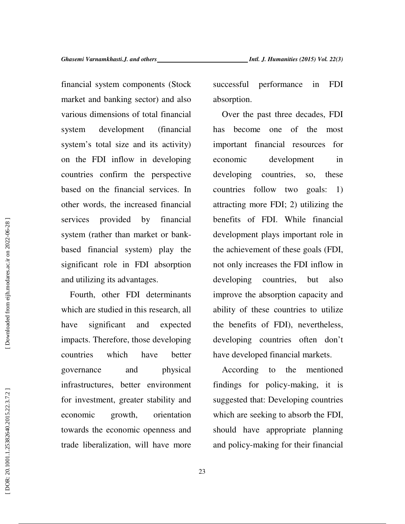financial system components (Stock market and banking sector) and also various dimensions of total financial system development (financial system's total size and its activity) on the FDI inflow in developing countries confirm the perspective based on the financial services. In other words, the increased financial services provided by financial system (rather than market or bankbased financial system) play the significant role in FDI absorption and utilizing its advantages.

Fourth, other FDI determinants which are studied in this research, all have significant and expected impacts. Therefore, those developing countries which have better governance and physical infrastructures, better environment for investment, greater stability and economic growth, orientation towards the economic openness and trade liberalization, will have more successful performance in FDI absorption.

Over the past three decades, FDI has become one of the most important financial resources for economic development in developing countries, so, these countries follow two goals: 1) attracting more FDI; 2) utilizing the benefits of FDI. While financial development plays important role in the achievement of these goals (FDI, not only increases the FDI inflow in developing countries, but also improve the absorption capacity and ability of these countries to utilize the benefits of FDI), nevertheless, developing countries often don't have developed financial markets.

According to the mentioned findings for policy-making, it is suggested that: Developing countries which are seeking to absorb the FDI, should have appropriate planning and policy-making for their financial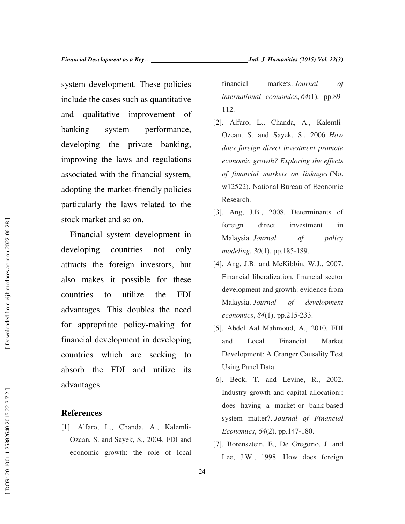system development. These policies include the cases such as quantitative and qualitative improvement of banking system performance, developing the private banking, improving the laws and regulations associated with the financial system, adopting the market-friendly policies particularly the laws related to the stock market and so on.

 Financial system development in developing countries not only attracts the foreign investors, but also makes it possible for these countries to utilize the FDI advantages. This doubles the need for appropriate policy-making for financial development in developing countries which are seeking to absorb the FDI and utilize its advantages.

### **References**

[1]. Alfaro, L., Chanda, A., Kalemli-Ozcan, S. and Sayek, S., 2004. FDI and economic growth: the role of local financial markets. *Journal of international economics*, *64*(1), pp.89- 112.

- [2]. Alfaro, L., Chanda, A., Kalemli-Ozcan, S. and Sayek, S., 2006. *How does foreign direct investment promote economic growth? Exploring the effects of financial markets on linkages* (No. w12522). National Bureau of Economic Research.
- [3]. Ang, J.B., 2008. Determinants of foreign direct investment in Malaysia. *Journal of policy modeling*, *30*(1), pp.185-189.
- [4]. Ang, J.B. and McKibbin, W.J., 2007. Financial liberalization, financial sector development and growth: evidence from Malaysia. *Journal of development economics*, *84*(1), pp.215-233.
- [5]. Abdel Aal Mahmoud, A., 2010. FDI and Local Financial Market Development: A Granger Causality Test Using Panel Data.
- [6]. Beck, T. and Levine, R., 2002. Industry growth and capital allocation:: does having a market-or bank-based system matter?. *Journal of Financial Economics*, *64*(2), pp.147-180.
- [7]. Borensztein, E., De Gregorio, J. and Lee, J.W., 1998. How does foreign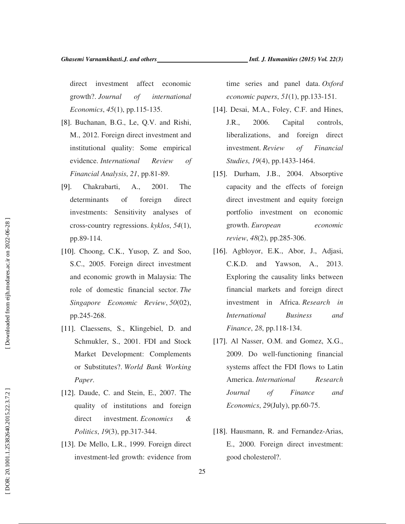direct investment affect economic growth?. *Journal of international Economics*, *45*(1), pp.115-135.

- [8]. Buchanan, B.G., Le, Q.V. and Rishi, M., 2012. Foreign direct investment and institutional quality: Some empirical evidence. *International Review of Financial Analysis*, *21*, pp.81-89.
- [9]. Chakrabarti, A., 2001. The determinants of foreign direct investments: Sensitivity analyses of cross ‐country regressions. *kyklos*, *54*(1), pp.89-114.
- [10]. Choong, C.K., Yusop, Z. and Soo, S.C., 2005. Foreign direct investment and economic growth in Malaysia: The role of domestic financial sector. *The Singapore Economic Review*, *50*(02), pp.245-268.
- [11]. Claessens, S., Klingebiel, D. and Schmukler, S., 2001. FDI and Stock Market Development: Complements or Substitutes?. *World Bank Working Paper* .
- [12]. Daude, C. and Stein, E., 2007. The quality of institutions and foreign direct investment. *Economics & Politics*, *19*(3), pp.317-344.
- [13]. De Mello, L.R., 1999. Foreign direct investment-led growth: evidence from

time series and panel data. *Oxford economic papers*, *51*(1), pp.133-151.

- [14]. Desai, M.A., Foley, C.F. and Hines, J.R., 2006. Capital controls, liberalizations, and foreign direct investment. *Review of Financial Studies*, *19*(4), pp.1433-1464.
- [15]. Durham, J.B., 2004. Absorptive capacity and the effects of foreign direct investment and equity foreign portfolio investment on economic growth. *European economic review*, *48*(2), pp.285-306.
- [16]. Agbloyor, E.K., Abor, J., Adjasi, C.K.D. and Yawson, A., 2013. Exploring the causality links between financial markets and foreign direct investment in Africa. *Research in International Business and Finance*, *28*, pp.118-134.
- [17]. Al Nasser, O.M. and Gomez, X.G., 2009. Do well-functioning financial systems affect the FDI flows to Latin America. *International Research Journal of Finance and Economics*, *29*(July), pp.60-75.
- [18]. Hausmann, R. and Fernandez-Arias, E., 2000. Foreign direct investment: good cholesterol?.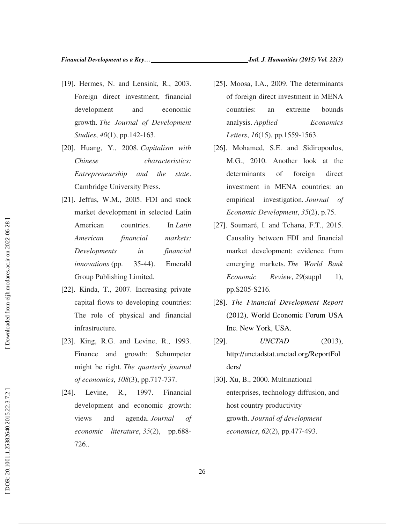- [19]. Hermes, N. and Lensink, R., 2003. Foreign direct investment, financial development and economic growth. *The Journal of Development Studies*, *40*(1), pp.142-163.
- [20]. Huang, Y., 2008. *Capitalism with Chinese characteristics: Entrepreneurship and the state*. Cambridge University Press.
- [21]. Jeffus, W.M., 2005. FDI and stock market development in selected Latin American countries. In *Latin American financial markets: Developments in financial innovations* (pp. 35-44). Emerald Group Publishing Limited.
- [22]. Kinda, T., 2007. Increasing private capital flows to developing countries: The role of physical and financial infrastructure.
- [23]. King, R.G. and Levine, R., 1993. Finance and growth: Schumpeter might be right. *The quarterly journal of economics*, *108*(3), pp.717-737.
- [24]. Levine, R., 1997. Financial development and economic growth: views and agenda. *Journal of economic literature*, *35*(2), pp.688- 726..
- [25]. Moosa, I.A., 2009. The determinants of foreign direct investment in MENA countries: an extreme bounds analysis. *Applied Economics Letters*, *16*(15), pp.1559-1563.
- [26]. Mohamed, S.E. and Sidiropoulos, M.G., 2010. Another look at the determinants of foreign direct investment in MENA countries: an empirical investigation. *Journal of Economic Development*, *35*(2), p.75.
- [27]. Soumaré, I. and Tchana, F.T., 2015. Causality between FDI and financial market development: evidence from emerging markets. *The World Bank Economic Review*, 29(suppl 1), pp.S205-S216.
- [28]. *The Financial Development Report* (2012), World Economic Forum USA Inc. New York, USA.
- [29]. *UNCTAD* (2013), http://unctadstat.unctad.org/ReportFol ders/
- [30]. Xu, B., 2000. Multinational enterprises, technology diffusion, and host country productivity growth. *Journal of development economics*, *62*(2), pp.477-493.